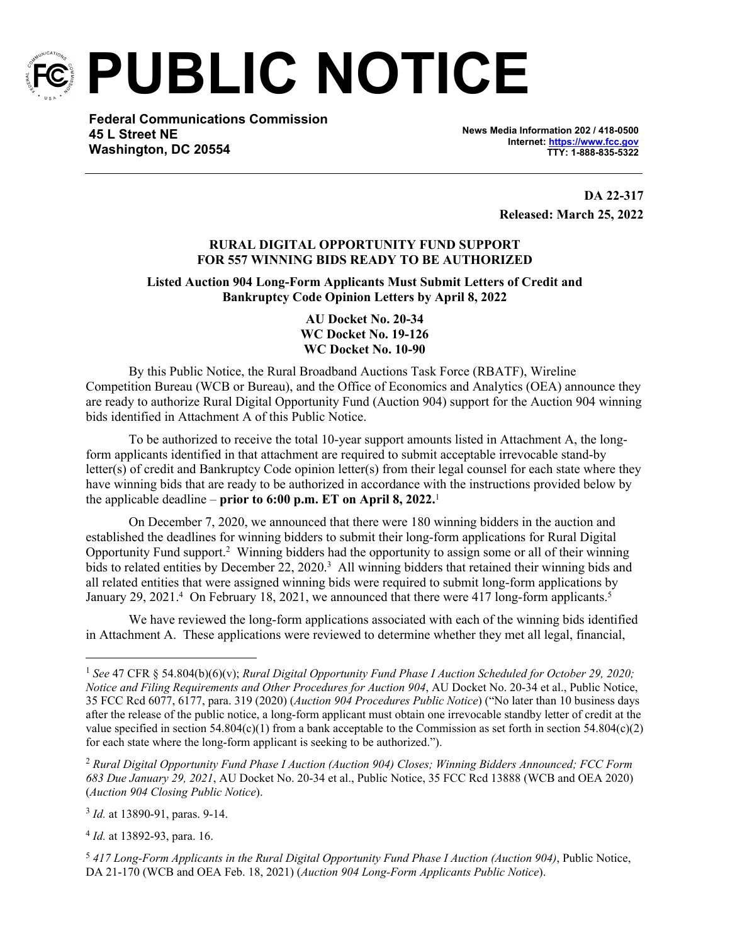

**PUBLIC NOTICE**

**Federal Communications Commission 45 L Street NE Washington, DC 20554**

**News Media Information 202 / 418-0500 Internet:<https://www.fcc.gov> TTY: 1-888-835-5322**

> **DA 22-317 Released: March 25, 2022**

# **RURAL DIGITAL OPPORTUNITY FUND SUPPORT FOR 557 WINNING BIDS READY TO BE AUTHORIZED**

**Listed Auction 904 Long-Form Applicants Must Submit Letters of Credit and Bankruptcy Code Opinion Letters by April 8, 2022**

> **AU Docket No. 20-34 WC Docket No. 19-126 WC Docket No. 10-90**

By this Public Notice, the Rural Broadband Auctions Task Force (RBATF), Wireline Competition Bureau (WCB or Bureau), and the Office of Economics and Analytics (OEA) announce they are ready to authorize Rural Digital Opportunity Fund (Auction 904) support for the Auction 904 winning bids identified in Attachment A of this Public Notice.

To be authorized to receive the total 10-year support amounts listed in Attachment A, the longform applicants identified in that attachment are required to submit acceptable irrevocable stand-by letter(s) of credit and Bankruptcy Code opinion letter(s) from their legal counsel for each state where they have winning bids that are ready to be authorized in accordance with the instructions provided below by the applicable deadline – **prior to 6:00 p.m. ET on April 8, 2022.**<sup>1</sup>

On December 7, 2020, we announced that there were 180 winning bidders in the auction and established the deadlines for winning bidders to submit their long-form applications for Rural Digital Opportunity Fund support.<sup>2</sup> Winning bidders had the opportunity to assign some or all of their winning bids to related entities by December 22, 2020.<sup>3</sup> All winning bidders that retained their winning bids and all related entities that were assigned winning bids were required to submit long-form applications by January 29, 2021.<sup>4</sup> On February 18, 2021, we announced that there were 417 long-form applicants.<sup>5</sup>

We have reviewed the long-form applications associated with each of the winning bids identified in Attachment A. These applications were reviewed to determine whether they met all legal, financial,

3 *Id.* at 13890-91, paras. 9-14.

4 *Id.* at 13892-93, para. 16.

<sup>5</sup> *417 Long-Form Applicants in the Rural Digital Opportunity Fund Phase I Auction (Auction 904)*, Public Notice, DA 21-170 (WCB and OEA Feb. 18, 2021) (*Auction 904 Long-Form Applicants Public Notice*).

<sup>1</sup> *See* 47 CFR § 54.804(b)(6)(v); *Rural Digital Opportunity Fund Phase I Auction Scheduled for October 29, 2020; Notice and Filing Requirements and Other Procedures for Auction 904*, AU Docket No. 20-34 et al., Public Notice, 35 FCC Rcd 6077, 6177, para. 319 (2020) (*Auction 904 Procedures Public Notice*) ("No later than 10 business days after the release of the public notice, a long-form applicant must obtain one irrevocable standby letter of credit at the value specified in section 54.804(c)(1) from a bank acceptable to the Commission as set forth in section 54.804(c)(2) for each state where the long-form applicant is seeking to be authorized.").

<sup>2</sup> *Rural Digital Opportunity Fund Phase I Auction (Auction 904) Closes; Winning Bidders Announced; FCC Form 683 Due January 29, 2021*, AU Docket No. 20-34 et al., Public Notice, 35 FCC Rcd 13888 (WCB and OEA 2020) (*Auction 904 Closing Public Notice*).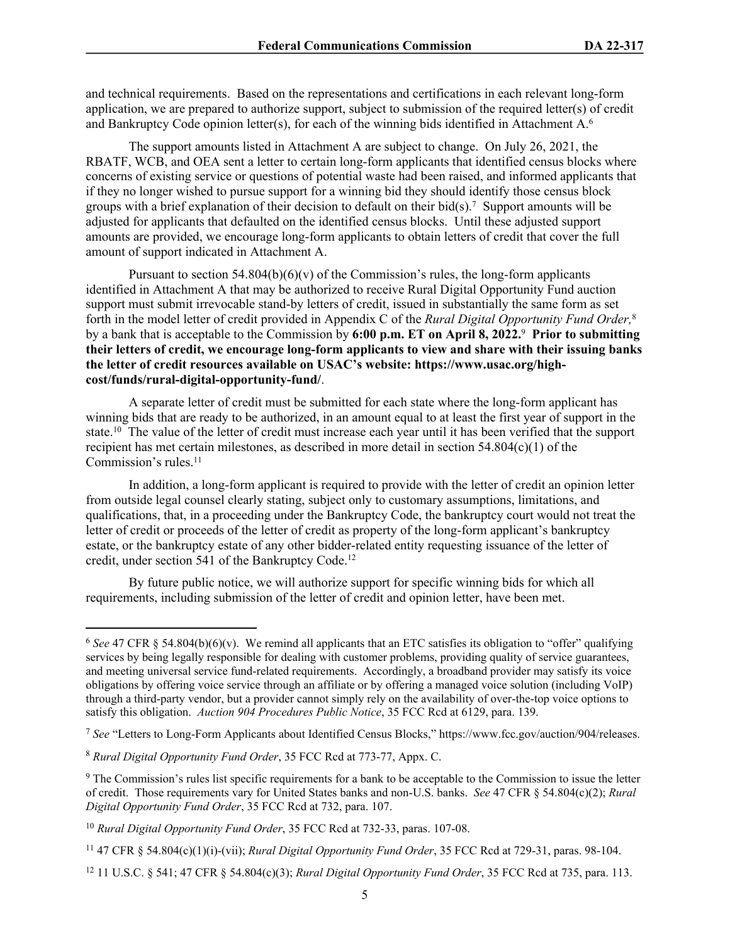and technical requirements. Based on the representations and certifications in each relevant long-form application, we are prepared to authorize support, subject to submission of the required letter(s) of credit and Bankruptcy Code opinion letter(s), for each of the winning bids identified in Attachment  $A<sup>6</sup>$ 

The support amounts listed in Attachment A are subject to change. On July 26, 2021, the RBATF, WCB, and OEA sent a letter to certain long-form applicants that identified census blocks where concerns of existing service or questions of potential waste had been raised, and informed applicants that if they no longer wished to pursue support for a winning bid they should identify those census block groups with a brief explanation of their decision to default on their bid $(s)$ .<sup>7</sup> Support amounts will be adjusted for applicants that defaulted on the identified census blocks. Until these adjusted support amounts are provided, we encourage long-form applicants to obtain letters of credit that cover the full amount of support indicated in Attachment A.

Pursuant to section 54.804(b)(6)(v) of the Commission's rules, the long-form applicants identified in Attachment A that may be authorized to receive Rural Digital Opportunity Fund auction support must submit irrevocable stand-by letters of credit, issued in substantially the same form as set forth in the model letter of credit provided in Appendix C of the *Rural Digital Opportunity Fund Order,*<sup>8</sup> by a bank that is acceptable to the Commission by **6:00 p.m. ET on April 8, 2022.**<sup>9</sup>  **Prior to submitting their letters of credit, we encourage long-form applicants to view and share with their issuing banks the letter of credit resources available on USAC's website: https://www.usac.org/highcost/funds/rural-digital-opportunity-fund/**.

A separate letter of credit must be submitted for each state where the long-form applicant has winning bids that are ready to be authorized, in an amount equal to at least the first year of support in the state.<sup>10</sup> The value of the letter of credit must increase each year until it has been verified that the support recipient has met certain milestones, as described in more detail in section 54.804(c)(1) of the Commission's rules.<sup>11</sup>

In addition, a long-form applicant is required to provide with the letter of credit an opinion letter from outside legal counsel clearly stating, subject only to customary assumptions, limitations, and qualifications, that, in a proceeding under the Bankruptcy Code, the bankruptcy court would not treat the letter of credit or proceeds of the letter of credit as property of the long-form applicant's bankruptcy estate, or the bankruptcy estate of any other bidder-related entity requesting issuance of the letter of credit, under section 541 of the Bankruptcy Code.<sup>12</sup>

By future public notice, we will authorize support for specific winning bids for which all requirements, including submission of the letter of credit and opinion letter, have been met.

<sup>6</sup> *See* 47 CFR § 54.804(b)(6)(v). We remind all applicants that an ETC satisfies its obligation to "offer" qualifying services by being legally responsible for dealing with customer problems, providing quality of service guarantees, and meeting universal service fund-related requirements. Accordingly, a broadband provider may satisfy its voice obligations by offering voice service through an affiliate or by offering a managed voice solution (including VoIP) through a third-party vendor, but a provider cannot simply rely on the availability of over-the-top voice options to satisfy this obligation. *Auction 904 Procedures Public Notice*, 35 FCC Rcd at 6129, para. 139.

<sup>7</sup> *See* "Letters to Long-Form Applicants about Identified Census Blocks," https://www.fcc.gov/auction/904/releases.

<sup>8</sup> *Rural Digital Opportunity Fund Order*, 35 FCC Rcd at 773-77, Appx. C.

<sup>&</sup>lt;sup>9</sup> The Commission's rules list specific requirements for a bank to be acceptable to the Commission to issue the letter of credit. Those requirements vary for United States banks and non-U.S. banks. *See* 47 CFR § 54.804(c)(2); *Rural Digital Opportunity Fund Order*, 35 FCC Rcd at 732, para. 107.

<sup>10</sup> *Rural Digital Opportunity Fund Order*, 35 FCC Rcd at 732-33, paras. 107-08.

<sup>11</sup> 47 CFR § 54.804(c)(1)(i)-(vii); *Rural Digital Opportunity Fund Order*, 35 FCC Rcd at 729-31, paras. 98-104.

<sup>12</sup> 11 U.S.C. § 541; 47 CFR § 54.804(c)(3); *Rural Digital Opportunity Fund Order*, 35 FCC Rcd at 735, para. 113.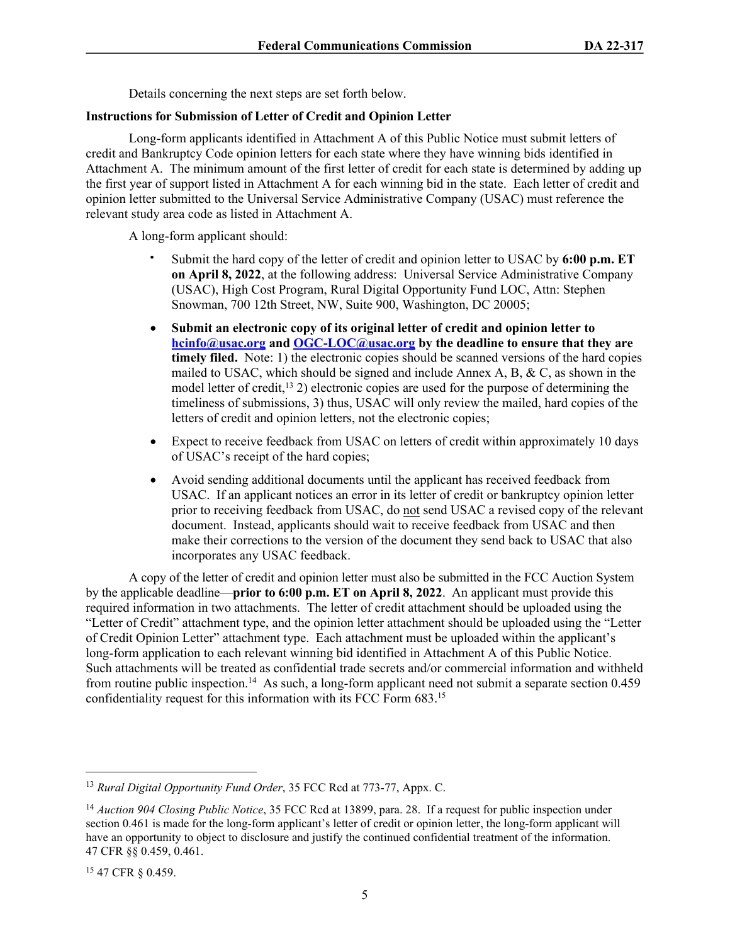Details concerning the next steps are set forth below.

## **Instructions for Submission of Letter of Credit and Opinion Letter**

Long-form applicants identified in Attachment A of this Public Notice must submit letters of credit and Bankruptcy Code opinion letters for each state where they have winning bids identified in Attachment A. The minimum amount of the first letter of credit for each state is determined by adding up the first year of support listed in Attachment A for each winning bid in the state. Each letter of credit and opinion letter submitted to the Universal Service Administrative Company (USAC) must reference the relevant study area code as listed in Attachment A.

A long-form applicant should:

- Submit the hard copy of the letter of credit and opinion letter to USAC by **6:00 p.m. ET on April 8, 2022**, at the following address: Universal Service Administrative Company (USAC), High Cost Program, Rural Digital Opportunity Fund LOC, Attn: Stephen Snowman, 700 12th Street, NW, Suite 900, Washington, DC 20005;
- **Submit an electronic copy of its original letter of credit and opinion letter to [hcinfo@usac.org](mailto:hcinfo@usac.org) and [OGC-LOC@usac.org](mailto:OGC-LOC@usac.org) by the deadline to ensure that they are timely filed.** Note: 1) the electronic copies should be scanned versions of the hard copies mailed to USAC, which should be signed and include Annex A, B,  $\&$  C, as shown in the model letter of credit,<sup>13</sup> 2) electronic copies are used for the purpose of determining the timeliness of submissions, 3) thus, USAC will only review the mailed, hard copies of the letters of credit and opinion letters, not the electronic copies;
- Expect to receive feedback from USAC on letters of credit within approximately 10 days of USAC's receipt of the hard copies;
- Avoid sending additional documents until the applicant has received feedback from USAC. If an applicant notices an error in its letter of credit or bankruptcy opinion letter prior to receiving feedback from USAC, do not send USAC a revised copy of the relevant document. Instead, applicants should wait to receive feedback from USAC and then make their corrections to the version of the document they send back to USAC that also incorporates any USAC feedback.

A copy of the letter of credit and opinion letter must also be submitted in the FCC Auction System by the applicable deadline—**prior to 6:00 p.m. ET on April 8, 2022**. An applicant must provide this required information in two attachments. The letter of credit attachment should be uploaded using the "Letter of Credit" attachment type, and the opinion letter attachment should be uploaded using the "Letter of Credit Opinion Letter" attachment type. Each attachment must be uploaded within the applicant's long-form application to each relevant winning bid identified in Attachment A of this Public Notice. Such attachments will be treated as confidential trade secrets and/or commercial information and withheld from routine public inspection.<sup>14</sup> As such, a long-form applicant need not submit a separate section 0.459 confidentiality request for this information with its FCC Form 683.<sup>15</sup>

<sup>13</sup> *Rural Digital Opportunity Fund Order*, 35 FCC Rcd at 773-77, Appx. C.

<sup>14</sup> *Auction 904 Closing Public Notice*, 35 FCC Rcd at 13899, para. 28. If a request for public inspection under section 0.461 is made for the long-form applicant's letter of credit or opinion letter, the long-form applicant will have an opportunity to object to disclosure and justify the continued confidential treatment of the information. 47 CFR §§ 0.459, 0.461.

<sup>15</sup> 47 CFR § 0.459.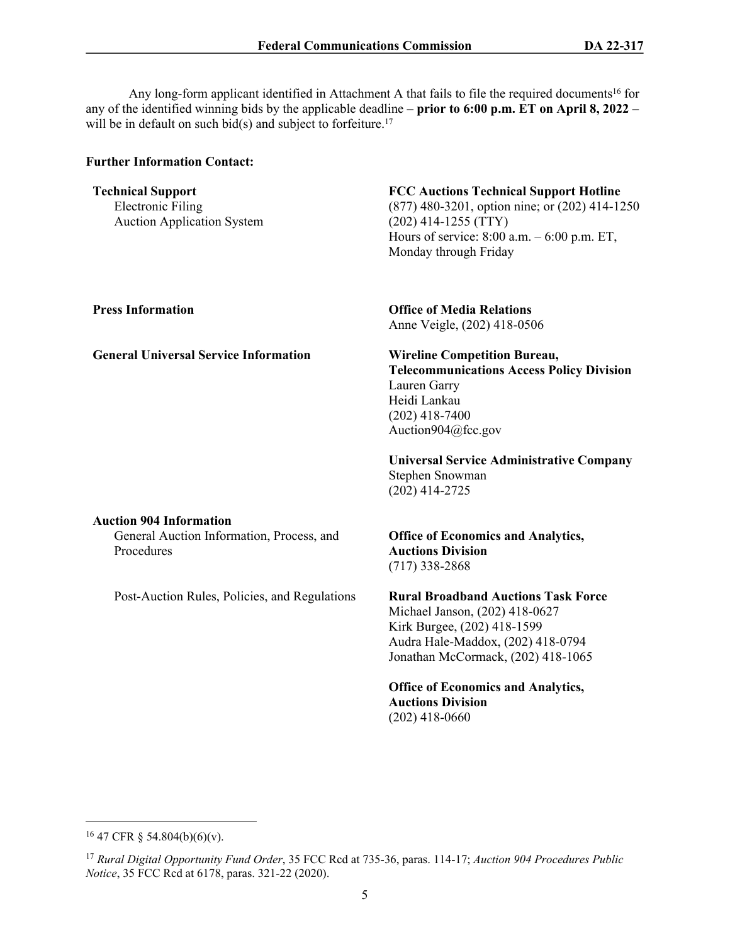Any long-form applicant identified in Attachment A that fails to file the required documents<sup>16</sup> for any of the identified winning bids by the applicable deadline **– prior to 6:00 p.m. ET on April 8, 2022 –** will be in default on such bid(s) and subject to forfeiture.<sup>17</sup>

#### **Further Information Contact:**

#### **Technical Support** Electronic Filing Auction Application System

## **FCC Auctions Technical Support Hotline**

(877) 480-3201, option nine; or (202) 414-1250 (202) 414-1255 (TTY) Hours of service: 8:00 a.m. – 6:00 p.m. ET, Monday through Friday

**Press Information Office of Media Relations** Anne Veigle, (202) 418-0506

#### **General Universal Service Information Wireline Competition Bureau, Telecommunications Access Policy Division** Lauren Garry Heidi Lankau

(202) 418-7400 Auction904@fcc.gov

**Universal Service Administrative Company** Stephen Snowman (202) 414-2725

## **Auction 904 Information**

General Auction Information, Process, and Procedures

Post-Auction Rules, Policies, and Regulations

## **Office of Economics and Analytics, Auctions Division**  (717) 338-2868

**Rural Broadband Auctions Task Force** Michael Janson, (202) 418-0627 Kirk Burgee, (202) 418-1599 Audra Hale-Maddox, (202) 418-0794 Jonathan McCormack, (202) 418-1065

**Office of Economics and Analytics, Auctions Division**  (202) 418-0660

<sup>16</sup> 47 CFR § 54.804(b)(6)(v).

<sup>17</sup> *Rural Digital Opportunity Fund Order*, 35 FCC Rcd at 735-36, paras. 114-17; *Auction 904 Procedures Public Notice*, 35 FCC Rcd at 6178, paras. 321-22 (2020).